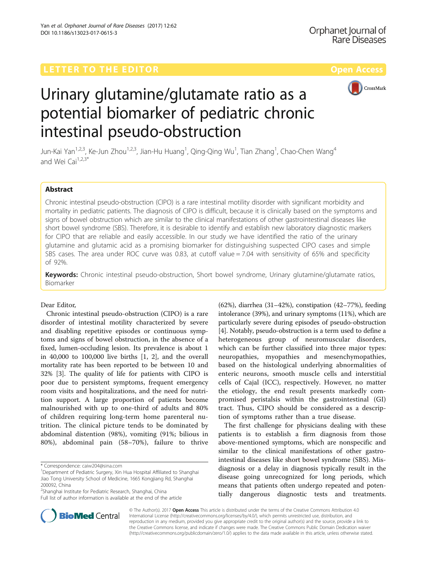

# Urinary glutamine/glutamate ratio as a potential biomarker of pediatric chronic intestinal pseudo-obstruction

Jun-Kai Yan<sup>1,2,3</sup>, Ke-Jun Zhou<sup>1,2,3</sup>, Jian-Hu Huang<sup>1</sup>, Qing-Qing Wu<sup>1</sup>, Tian Zhang<sup>1</sup>, Chao-Chen Wang<sup>4</sup> and Wei Cai $1,2,3^*$ 

# Abstract

Chronic intestinal pseudo-obstruction (CIPO) is a rare intestinal motility disorder with significant morbidity and mortality in pediatric patients. The diagnosis of CIPO is difficult, because it is clinically based on the symptoms and signs of bowel obstruction which are similar to the clinical manifestations of other gastrointestinal diseases like short bowel syndrome (SBS). Therefore, it is desirable to identify and establish new laboratory diagnostic markers for CIPO that are reliable and easily accessible. In our study we have identified the ratio of the urinary glutamine and glutamic acid as a promising biomarker for distinguishing suspected CIPO cases and simple SBS cases. The area under ROC curve was 0.83, at cutoff value = 7.04 with sensitivity of 65% and specificity of 92%.

Keywords: Chronic intestinal pseudo-obstruction, Short bowel syndrome, Urinary glutamine/glutamate ratios, Biomarker

# Dear Editor,

Chronic intestinal pseudo-obstruction (CIPO) is a rare disorder of intestinal motility characterized by severe and disabling repetitive episodes or continuous symptoms and signs of bowel obstruction, in the absence of a fixed, lumen-occluding lesion. Its prevalence is about 1 in 40,000 to 100,000 live births [[1, 2](#page-3-0)], and the overall mortality rate has been reported to be between 10 and 32% [\[3](#page-3-0)]. The quality of life for patients with CIPO is poor due to persistent symptoms, frequent emergency room visits and hospitalizations, and the need for nutrition support. A large proportion of patients become malnourished with up to one-third of adults and 80% of children requiring long-term home parenteral nutrition. The clinical picture tends to be dominated by abdominal distention (98%), vomiting (91%; bilious in 80%), abdominal pain (58–70%), failure to thrive

\* Correspondence: [caiw204@sina.com](mailto:caiw204@sina.com) <sup>1</sup>

<sup>1</sup>Department of Pediatric Surgery, Xin Hua Hospital Affiliated to Shanghai Jiao Tong University School of Medicine, 1665 Kongjiang Rd, Shanghai 200092, China

<sup>2</sup>Shanghai Institute for Pediatric Research, Shanghai, China Full list of author information is available at the end of the article

(62%), diarrhea (31–42%), constipation (42–77%), feeding intolerance (39%), and urinary symptoms (11%), which are particularly severe during episodes of pseudo-obstruction [[4\]](#page-3-0). Notably, pseudo-obstruction is a term used to define a heterogeneous group of neuromuscular disorders, which can be further classified into three major types: neuropathies, myopathies and mesenchymopathies, based on the histological underlying abnormalities of enteric neurons, smooth muscle cells and interstitial cells of Cajal (ICC), respectively. However, no matter the etiology, the end result presents markedly compromised peristalsis within the gastrointestinal (GI) tract. Thus, CIPO should be considered as a description of symptoms rather than a true disease.

The first challenge for physicians dealing with these patients is to establish a firm diagnosis from those above-mentioned symptoms, which are nonspecific and similar to the clinical manifestations of other gastrointestinal diseases like short bowel syndrome (SBS). Misdiagnosis or a delay in diagnosis typically result in the disease going unrecognized for long periods, which means that patients often undergo repeated and potentially dangerous diagnostic tests and treatments.



© The Author(s). 2017 **Open Access** This article is distributed under the terms of the Creative Commons Attribution 4.0 International License [\(http://creativecommons.org/licenses/by/4.0/](http://creativecommons.org/licenses/by/4.0/)), which permits unrestricted use, distribution, and reproduction in any medium, provided you give appropriate credit to the original author(s) and the source, provide a link to the Creative Commons license, and indicate if changes were made. The Creative Commons Public Domain Dedication waiver [\(http://creativecommons.org/publicdomain/zero/1.0/](http://creativecommons.org/publicdomain/zero/1.0/)) applies to the data made available in this article, unless otherwise stated.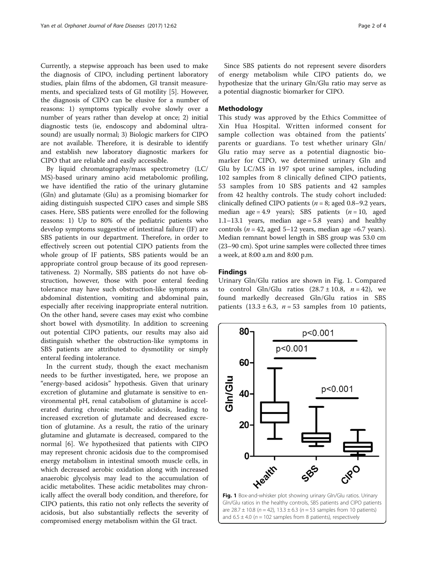Currently, a stepwise approach has been used to make the diagnosis of CIPO, including pertinent laboratory studies, plain films of the abdomen, GI transit measurements, and specialized tests of GI motility [[5\]](#page-3-0). However, the diagnosis of CIPO can be elusive for a number of reasons: 1) symptoms typically evolve slowly over a number of years rather than develop at once; 2) initial diagnostic tests (ie, endoscopy and abdominal ultrasound) are usually normal; 3) Biologic markers for CIPO are not available. Therefore, it is desirable to identify and establish new laboratory diagnostic markers for CIPO that are reliable and easily accessible.

By liquid chromatography/mass spectrometry (LC/ MS)-based urinary amino acid metabolomic profiling, we have identified the ratio of the urinary glutamine (Gln) and glutamate (Glu) as a promising biomarker for aiding distinguish suspected CIPO cases and simple SBS cases. Here, SBS patients were enrolled for the following reasons: 1) Up to 80% of the pediatric patients who develop symptoms suggestive of intestinal failure (IF) are SBS patients in our department. Therefore, in order to effectively screen out potential CIPO patients from the whole group of IF patients, SBS patients would be an appropriate control group because of its good representativeness. 2) Normally, SBS patients do not have obstruction, however, those with poor enteral feeding tolerance may have such obstruction-like symptoms as abdominal distention, vomiting and abdominal pain, especially after receiving inappropriate enteral nutrition. On the other hand, severe cases may exist who combine short bowel with dysmotility. In addition to screening out potential CIPO patients, our results may also aid distinguish whether the obstruction-like symptoms in SBS patients are attributed to dysmotility or simply enteral feeding intolerance.

In the current study, though the exact mechanism needs to be further investigated, here, we propose an "energy-based acidosis" hypothesis. Given that urinary excretion of glutamine and glutamate is sensitive to environmental pH, renal catabolism of glutamine is accelerated during chronic metabolic acidosis, leading to increased excretion of glutamate and decreased excretion of glutamine. As a result, the ratio of the urinary glutamine and glutamate is decreased, compared to the normal [\[6](#page-3-0)]. We hypothesized that patients with CIPO may represent chronic acidosis due to the compromised energy metabolism in intestinal smooth muscle cells, in which decreased aerobic oxidation along with increased anaerobic glycolysis may lead to the accumulation of acidic metabolites. These acidic metabolites may chronically affect the overall body condition, and therefore, for CIPO patients, this ratio not only reflects the severity of acidosis, but also substantially reflects the severity of compromised energy metabolism within the GI tract.

Since SBS patients do not represent severe disorders of energy metabolism while CIPO patients do, we hypothesize that the urinary Gln/Glu ratio may serve as a potential diagnostic biomarker for CIPO.

# Methodology

This study was approved by the Ethics Committee of Xin Hua Hospital. Written informed consent for sample collection was obtained from the patients' parents or guardians. To test whether urinary Gln/ Glu ratio may serve as a potential diagnostic biomarker for CIPO, we determined urinary Gln and Glu by LC/MS in 197 spot urine samples, including 102 samples from 8 clinically defined CIPO patients, 53 samples from 10 SBS patients and 42 samples from 42 healthy controls. The study cohort included: clinically defined CIPO patients ( $n = 8$ ; aged 0.8–9.2 years, median age = 4.9 years); SBS patients  $(n = 10, \text{ aged})$ 1.1–13.1 years, median age  $= 5.8$  years) and healthy controls ( $n = 42$ , aged 5–12 years, median age =6.7 years). Median remnant bowel length in SBS group was 53.0 cm (23–90 cm). Spot urine samples were collected three times a week, at 8:00 a.m and 8:00 p.m.

# Findings

Urinary Gln/Glu ratios are shown in Fig. 1. Compared to control Gln/Glu ratios  $(28.7 \pm 10.8, n = 42)$ , we found markedly decreased Gln/Glu ratios in SBS patients  $(13.3 \pm 6.3, n = 53$  samples from 10 patients,



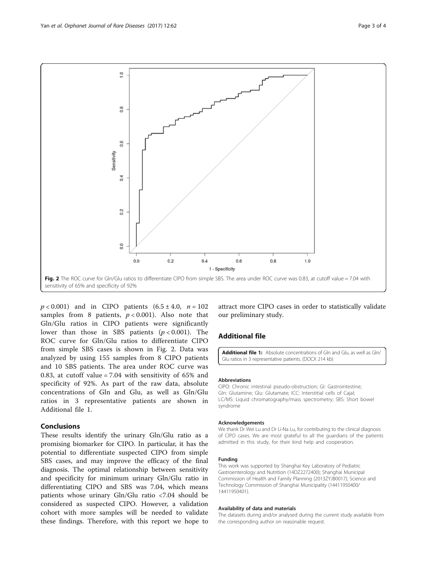

 $p < 0.001$ ) and in CIPO patients  $(6.5 \pm 4.0, n = 102)$ samples from 8 patients,  $p < 0.001$ ). Also note that Gln/Glu ratios in CIPO patients were significantly lower than those in SBS patients  $(p < 0.001)$ . The ROC curve for Gln/Glu ratios to differentiate CIPO from simple SBS cases is shown in Fig. 2. Data was analyzed by using 155 samples from 8 CIPO patients and 10 SBS patients. The area under ROC curve was 0.83, at cutoff value = 7.04 with sensitivity of 65% and specificity of 92%. As part of the raw data, absolute concentrations of Gln and Glu, as well as Gln/Glu ratios in 3 representative patients are shown in Additional file 1.

# Conclusions

These results identify the urinary Gln/Glu ratio as a promising biomarker for CIPO. In particular, it has the potential to differentiate suspected CIPO from simple SBS cases, and may improve the efficacy of the final diagnosis. The optimal relationship between sensitivity and specificity for minimum urinary Gln/Glu ratio in differentiating CIPO and SBS was 7.04, which means patients whose urinary Gln/Glu ratio <7.04 should be considered as suspected CIPO. However, a validation cohort with more samples will be needed to validate these findings. Therefore, with this report we hope to

attract more CIPO cases in order to statistically validate our preliminary study.

# Additional file

[Additional file 1:](dx.doi.org/10.1186/s13023-017-0615-3) Absolute concentrations of Gln and Glu, as well as Gln/ Glu ratios in 3 representative patients. (DOCX 214 kb)

#### Abbreviations

CIPO: Chronic intestinal pseudo-obstruction; GI: Gastrointestine; Gln: Glutamine; Glu: Glutamate; ICC: Interstitial cells of Cajal; LC/MS: Liquid chromatography/mass spectrometry; SBS: Short bowel syndrome

# Acknowledgements

We thank Dr Wei Lu and Dr Li-Na Lu, for contributing to the clinical diagnosis of CIPO cases. We are most grateful to all the guardians of the patients admitted in this study, for their kind help and cooperation.

#### Funding

This work was supported by Shanghai Key Laboratory of Pediatric Gastroenterology and Nutrition (14DZ2272400); Shanghai Municipal Commission of Health and Family Planning (2013ZYJB0017); Science and Technology Commission of Shanghai Municipality (14411950400/ 14411950401).

#### Availability of data and materials

The datasets during and/or analysed during the current study available from the corresponding author on reasonable request.